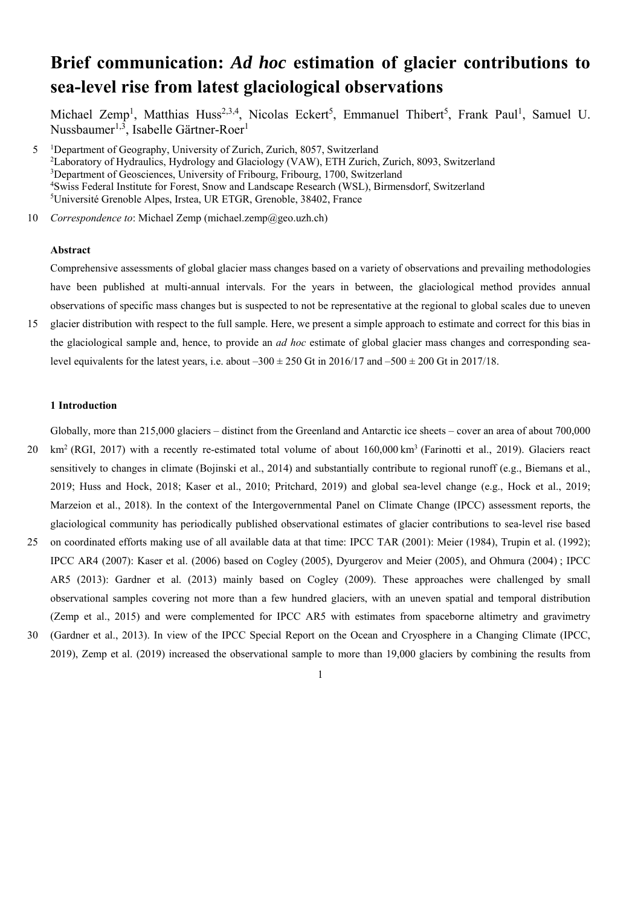# **Brief communication:** *Ad hoc* **estimation of glacier contributions to sea-level rise from latest glaciological observations**

Michael Zemp<sup>1</sup>, Matthias Huss<sup>2,3,4</sup>, Nicolas Eckert<sup>5</sup>, Emmanuel Thibert<sup>5</sup>, Frank Paul<sup>1</sup>, Samuel U. Nussbaumer<sup>1,3</sup>, Isabelle Gärtner-Roer<sup>1</sup>

5 <sup>1</sup>Department of Geography, University of Zurich, Zurich, 8057, Switzerland <sup>2</sup>Laboratory of Hydraulics, Hydrology and Glaciology (VAW), ETH Zurich, Zurich, 8093, Switzerland <sup>3</sup>Department of Geosciences, University of Fribourg, Fribourg, 1700, Switzerland<br><sup>4</sup>Swiss Eederal Institute for Forest, Snow and Landscape Research (WSL), Birmer <sup>4</sup>Swiss Federal Institute for Forest, Snow and Landscape Research (WSL), Birmensdorf, Switzerland <sup>5</sup>Université Grenoble Alpes, Irstea, UR ETGR, Grenoble, 38402, France

10 *Correspondence to*: Michael Zemp (michael.zemp@geo.uzh.ch)

#### **Abstract**

Comprehensive assessments of global glacier mass changes based on a variety of observations and prevailing methodologies have been published at multi-annual intervals. For the years in between, the glaciological method provides annual observations of specific mass changes but is suspected to not be representative at the regional to global scales due to uneven

15 glacier distribution with respect to the full sample. Here, we present a simple approach to estimate and correct for this bias in the glaciological sample and, hence, to provide an *ad hoc* estimate of global glacier mass changes and corresponding sealevel equivalents for the latest years, i.e. about  $-300 \pm 250$  Gt in 2016/17 and  $-500 \pm 200$  Gt in 2017/18.

# **1 Introduction**

Globally, more than 215,000 glaciers – distinct from the Greenland and Antarctic ice sheets – cover an area of about 700,000

- 20  $km^2$  (RGI, 2017) with a recently re-estimated total volume of about  $160,000$  km<sup>3</sup> (Farinotti et al., 2019). Glaciers react sensitively to changes in climate (Bojinski et al., 2014) and substantially contribute to regional runoff (e.g., Biemans et al., 2019; Huss and Hock, 2018; Kaser et al., 2010; Pritchard, 2019) and global sea-level change (e.g., Hock et al., 2019; Marzeion et al., 2018). In the context of the Intergovernmental Panel on Climate Change (IPCC) assessment reports, the glaciological community has periodically published observational estimates of glacier contributions to sea-level rise based
- 25 on coordinated efforts making use of all available data at that time: IPCC TAR (2001): Meier (1984), Trupin et al. (1992); IPCC AR4 (2007): Kaser et al. (2006) based on Cogley (2005), Dyurgerov and Meier (2005), and Ohmura (2004) ; IPCC AR5 (2013): Gardner et al. (2013) mainly based on Cogley (2009). These approaches were challenged by small observational samples covering not more than a few hundred glaciers, with an uneven spatial and temporal distribution (Zemp et al., 2015) and were complemented for IPCC AR5 with estimates from spaceborne altimetry and gravimetry
- 30 (Gardner et al., 2013). In view of the IPCC Special Report on the Ocean and Cryosphere in a Changing Climate (IPCC, 2019), Zemp et al. (2019) increased the observational sample to more than 19,000 glaciers by combining the results from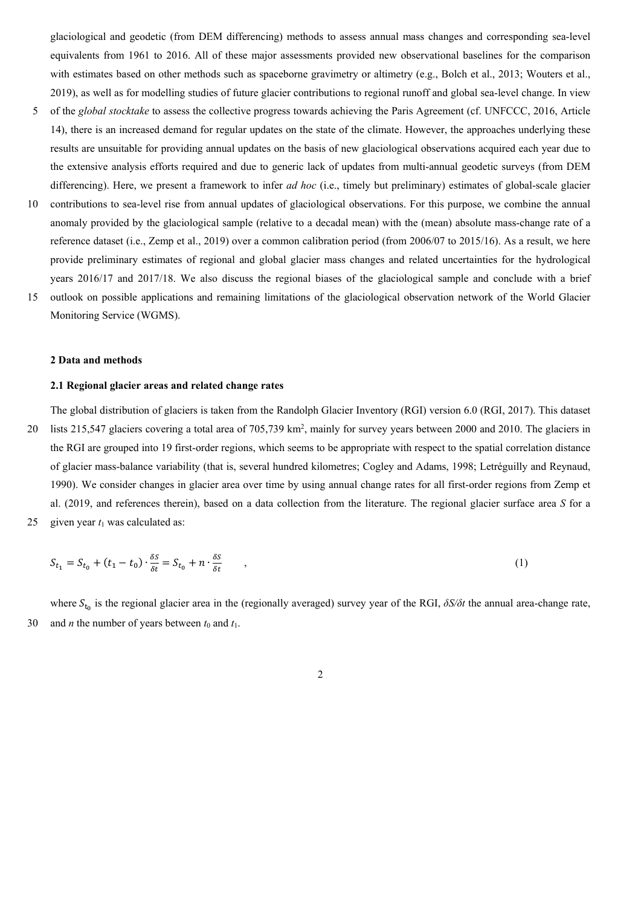glaciological and geodetic (from DEM differencing) methods to assess annual mass changes and corresponding sea-level equivalents from 1961 to 2016. All of these major assessments provided new observational baselines for the comparison with estimates based on other methods such as spaceborne gravimetry or altimetry (e.g., Bolch et al., 2013; Wouters et al., 2019), as well as for modelling studies of future glacier contributions to regional runoff and global sea-level change. In view

- 5 of the *global stocktake* to assess the collective progress towards achieving the Paris Agreement (cf. UNFCCC, 2016, Article 14), there is an increased demand for regular updates on the state of the climate. However, the approaches underlying these results are unsuitable for providing annual updates on the basis of new glaciological observations acquired each year due to the extensive analysis efforts required and due to generic lack of updates from multi-annual geodetic surveys (from DEM differencing). Here, we present a framework to infer *ad hoc* (i.e., timely but preliminary) estimates of global-scale glacier
- 10 contributions to sea-level rise from annual updates of glaciological observations. For this purpose, we combine the annual anomaly provided by the glaciological sample (relative to a decadal mean) with the (mean) absolute mass-change rate of a reference dataset (i.e., Zemp et al., 2019) over a common calibration period (from 2006/07 to 2015/16). As a result, we here provide preliminary estimates of regional and global glacier mass changes and related uncertainties for the hydrological years 2016/17 and 2017/18. We also discuss the regional biases of the glaciological sample and conclude with a brief
- 15 outlook on possible applications and remaining limitations of the glaciological observation network of the World Glacier Monitoring Service (WGMS).

# **2 Data and methods**

## **2.1 Regional glacier areas and related change rates**

The global distribution of glaciers is taken from the Randolph Glacier Inventory (RGI) version 6.0 (RGI, 2017). This dataset 20 lists 215,547 glaciers covering a total area of 705,739 km<sup>2</sup>, mainly for survey years between 2000 and 2010. The glaciers in the RGI are grouped into 19 first-order regions, which seems to be appropriate with respect to the spatial correlation distance of glacier mass-balance variability (that is, several hundred kilometres; Cogley and Adams, 1998; Letréguilly and Reynaud, 1990). We consider changes in glacier area over time by using annual change rates for all first-order regions from Zemp et al. (2019, and references therein), based on a data collection from the literature. The regional glacier surface area *S* for a 25 given year  $t_1$  was calculated as:

$$
S_{t_1} = S_{t_0} + (t_1 - t_0) \cdot \frac{\delta S}{\delta t} = S_{t_0} + n \cdot \frac{\delta S}{\delta t} \tag{1}
$$

where  $S_{t_0}$  is the regional glacier area in the (regionally averaged) survey year of the RGI,  $\delta S/\delta t$  the annual area-change rate, 30 and *n* the number of years between  $t_0$  and  $t_1$ .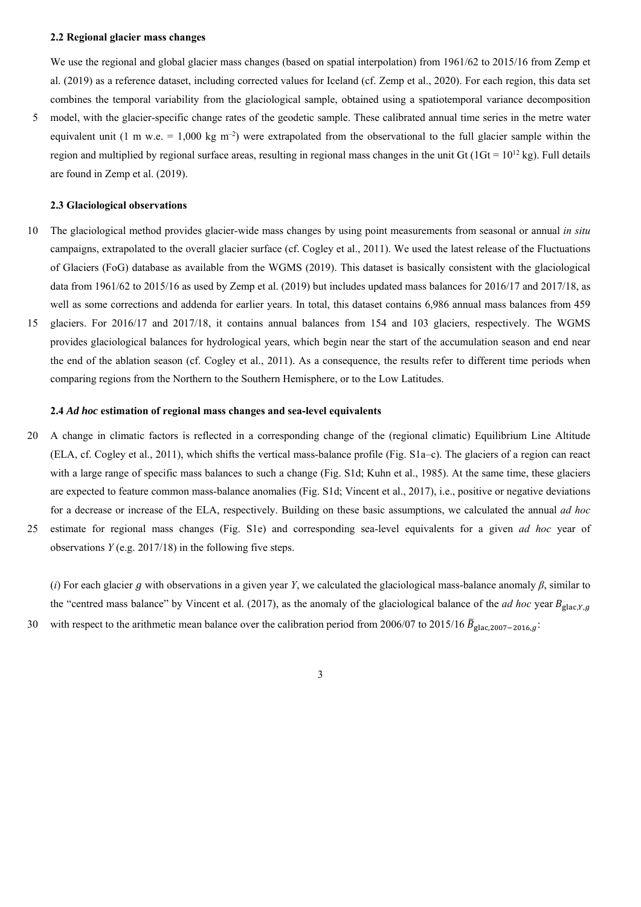#### **2.2 Regional glacier mass changes**

We use the regional and global glacier mass changes (based on spatial interpolation) from 1961/62 to 2015/16 from Zemp et al. (2019) as a reference dataset, including corrected values for Iceland (cf. Zemp et al., 2020). For each region, this data set combines the temporal variability from the glaciological sample, obtained using a spatiotemporal variance decomposition 5 model, with the glacier-specific change rates of the geodetic sample. These calibrated annual time series in the metre water

equivalent unit (1 m w.e.  $= 1,000 \text{ kg m}^{-2}$ ) were extrapolated from the observational to the full glacier sample within the region and multiplied by regional surface areas, resulting in regional mass changes in the unit Gt ( $1Gt = 10^{12}$  kg). Full details are found in Zemp et al. (2019).

# **2.3 Glaciological observations**

- 10 The glaciological method provides glacier-wide mass changes by using point measurements from seasonal or annual *in situ* campaigns, extrapolated to the overall glacier surface (cf. Cogley et al., 2011). We used the latest release of the Fluctuations of Glaciers (FoG) database as available from the WGMS (2019). This dataset is basically consistent with the glaciological data from 1961/62 to 2015/16 as used by Zemp et al. (2019) but includes updated mass balances for 2016/17 and 2017/18, as well as some corrections and addenda for earlier years. In total, this dataset contains 6,986 annual mass balances from 459
- 15 glaciers. For 2016/17 and 2017/18, it contains annual balances from 154 and 103 glaciers, respectively. The WGMS provides glaciological balances for hydrological years, which begin near the start of the accumulation season and end near the end of the ablation season (cf. Cogley et al., 2011). As a consequence, the results refer to different time periods when comparing regions from the Northern to the Southern Hemisphere, or to the Low Latitudes.

#### **2.4** *Ad hoc* **estimation of regional mass changes and sea-level equivalents**

- 20 A change in climatic factors is reflected in a corresponding change of the (regional climatic) Equilibrium Line Altitude (ELA, cf. Cogley et al., 2011), which shifts the vertical mass-balance profile (Fig. S1a–c). The glaciers of a region can react with a large range of specific mass balances to such a change (Fig. S1d; Kuhn et al., 1985). At the same time, these glaciers are expected to feature common mass-balance anomalies (Fig. S1d; Vincent et al., 2017), i.e., positive or negative deviations for a decrease or increase of the ELA, respectively. Building on these basic assumptions, we calculated the annual *ad hoc*
- 25 estimate for regional mass changes (Fig. S1e) and corresponding sea-level equivalents for a given *ad hoc* year of observations *Y* (e.g. 2017/18) in the following five steps.

(*i*) For each glacier g with observations in a given year *Y*, we calculated the glaciological mass-balance anomaly  $\beta$ , similar to the "centred mass balance" by Vincent et al. (2017), as the anomaly of the glaciological balance of the *ad hoc* year  $B_{\text{glac},Y,g}$ 

30 with respect to the arithmetic mean balance over the calibration period from 2006/07 to 2015/16  $\bar{B}_{\text{glac,2007}-2016,g}$ :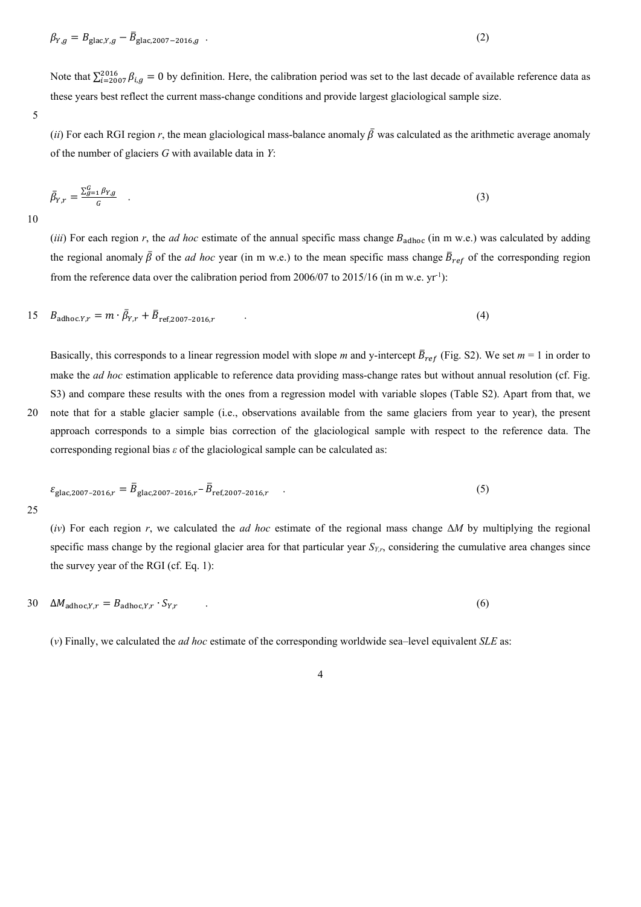$$
\beta_{Y,g} = B_{\text{glac},Y,g} - \bar{B}_{\text{glac},2007-2016,g} \tag{2}
$$

Note that  $\sum_{i=2007}^{2016} \beta_{i,g} = 0$  by definition. Here, the calibration period was set to the last decade of available reference data as these years best reflect the current mass-change conditions and provide largest glaciological sample size.

5

(*ii*) For each RGI region *r*, the mean glaciological mass-balance anomaly  $\bar{\beta}$  was calculated as the arithmetic average anomaly of the number of glaciers *G* with available data in *Y*:

$$
\bar{\beta}_{Y,r} = \frac{\sum_{g=1}^{G} \beta_{Y,g}}{G} \quad . \tag{3}
$$

10

(*iii*) For each region *r*, the *ad hoc* estimate of the annual specific mass change  $B_{adhoc}$  (in m w.e.) was calculated by adding the regional anomaly  $\bar{\beta}$  of the *ad hoc* year (in m w.e.) to the mean specific mass change  $\bar{B}_{ref}$  of the corresponding region from the reference data over the calibration period from 2006/07 to 2015/16 (in m w.e.  $yr^{-1}$ ):

15 
$$
B_{adhoc,Y,r} = m \cdot \bar{\beta}_{Y,r} + \bar{B}_{ref,2007-2016,r}
$$
 (4)

Basically, this corresponds to a linear regression model with slope *m* and y-intercept  $\bar{B}_{ref}$  (Fig. S2). We set  $m = 1$  in order to make the *ad hoc* estimation applicable to reference data providing mass-change rates but without annual resolution (cf. Fig. S3) and compare these results with the ones from a regression model with variable slopes (Table S2). Apart from that, we

20 note that for a stable glacier sample (i.e., observations available from the same glaciers from year to year), the present approach corresponds to a simple bias correction of the glaciological sample with respect to the reference data. The corresponding regional bias *ε* of the glaciological sample can be calculated as:

$$
\varepsilon_{\text{glac},2007-2016,r} = \bar{B}_{\text{glac},2007-2016,r} - \bar{B}_{\text{ref},2007-2016,r} \quad . \tag{5}
$$

25

(*iv*) For each region *r*, we calculated the *ad hoc* estimate of the regional mass change Δ*M* by multiplying the regional specific mass change by the regional glacier area for that particular year *SY,r*, considering the cumulative area changes since the survey year of the RGI (cf. Eq. 1):

$$
30 \quad \Delta M_{\text{adhoc},Y,r} = B_{\text{adhoc},Y,r} \cdot S_{Y,r} \tag{6}
$$

(*v*) Finally, we calculated the *ad hoc* estimate of the corresponding worldwide sea–level equivalent *SLE* as: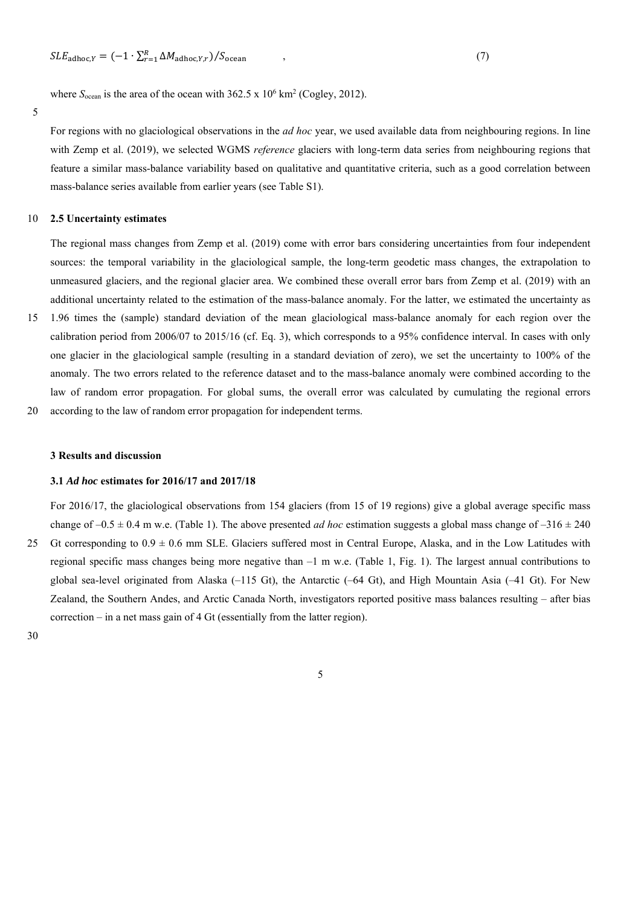where  $S_{\text{ocean}}$  is the area of the ocean with  $362.5 \times 10^6 \text{ km}^2$  (Cogley, 2012).

#### 5

For regions with no glaciological observations in the *ad hoc* year, we used available data from neighbouring regions. In line with Zemp et al. (2019), we selected WGMS *reference* glaciers with long-term data series from neighbouring regions that feature a similar mass-balance variability based on qualitative and quantitative criteria, such as a good correlation between mass-balance series available from earlier years (see Table S1).

# 10 **2.5 Uncertainty estimates**

The regional mass changes from Zemp et al. (2019) come with error bars considering uncertainties from four independent sources: the temporal variability in the glaciological sample, the long-term geodetic mass changes, the extrapolation to unmeasured glaciers, and the regional glacier area. We combined these overall error bars from Zemp et al. (2019) with an additional uncertainty related to the estimation of the mass-balance anomaly. For the latter, we estimated the uncertainty as

- 15 1.96 times the (sample) standard deviation of the mean glaciological mass-balance anomaly for each region over the calibration period from 2006/07 to 2015/16 (cf. Eq. 3), which corresponds to a 95% confidence interval. In cases with only one glacier in the glaciological sample (resulting in a standard deviation of zero), we set the uncertainty to 100% of the anomaly. The two errors related to the reference dataset and to the mass-balance anomaly were combined according to the law of random error propagation. For global sums, the overall error was calculated by cumulating the regional errors
- 20 according to the law of random error propagation for independent terms.

### **3 Results and discussion**

# **3.1** *Ad hoc* **estimates for 2016/17 and 2017/18**

For 2016/17, the glaciological observations from 154 glaciers (from 15 of 19 regions) give a global average specific mass change of  $-0.5 \pm 0.4$  m w.e. (Table 1). The above presented *ad hoc* estimation suggests a global mass change of  $-316 \pm 240$ 25 Gt corresponding to  $0.9 \pm 0.6$  mm SLE. Glaciers suffered most in Central Europe, Alaska, and in the Low Latitudes with regional specific mass changes being more negative than  $-1$  m w.e. (Table 1, Fig. 1). The largest annual contributions to global sea-level originated from Alaska (–115 Gt), the Antarctic (–64 Gt), and High Mountain Asia (–41 Gt). For New Zealand, the Southern Andes, and Arctic Canada North, investigators reported positive mass balances resulting – after bias correction – in a net mass gain of 4 Gt (essentially from the latter region).

5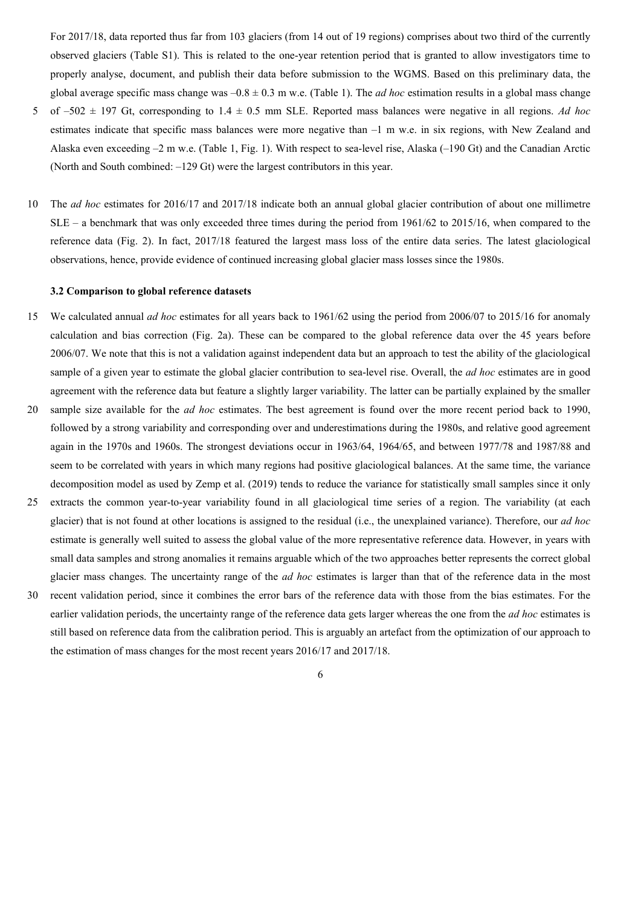For 2017/18, data reported thus far from 103 glaciers (from 14 out of 19 regions) comprises about two third of the currently observed glaciers (Table S1). This is related to the one-year retention period that is granted to allow investigators time to properly analyse, document, and publish their data before submission to the WGMS. Based on this preliminary data, the global average specific mass change was  $-0.8 \pm 0.3$  m w.e. (Table 1). The *ad hoc* estimation results in a global mass change

- 5 of –502 ± 197 Gt, corresponding to 1.4 ± 0.5 mm SLE. Reported mass balances were negative in all regions. *Ad hoc* estimates indicate that specific mass balances were more negative than –1 m w.e. in six regions, with New Zealand and Alaska even exceeding  $-2$  m w.e. (Table 1, Fig. 1). With respect to sea-level rise, Alaska  $(-190 \text{ Gt})$  and the Canadian Arctic (North and South combined: –129 Gt) were the largest contributors in this year.
- 10 The *ad hoc* estimates for 2016/17 and 2017/18 indicate both an annual global glacier contribution of about one millimetre  $SLE - a$  benchmark that was only exceeded three times during the period from 1961/62 to 2015/16, when compared to the reference data (Fig. 2). In fact, 2017/18 featured the largest mass loss of the entire data series. The latest glaciological observations, hence, provide evidence of continued increasing global glacier mass losses since the 1980s.

# **3.2 Comparison to global reference datasets**

- 15 We calculated annual *ad hoc* estimates for all years back to 1961/62 using the period from 2006/07 to 2015/16 for anomaly calculation and bias correction (Fig. 2a). These can be compared to the global reference data over the 45 years before 2006/07. We note that this is not a validation against independent data but an approach to test the ability of the glaciological sample of a given year to estimate the global glacier contribution to sea-level rise. Overall, the *ad hoc* estimates are in good agreement with the reference data but feature a slightly larger variability. The latter can be partially explained by the smaller
- 20 sample size available for the *ad hoc* estimates. The best agreement is found over the more recent period back to 1990, followed by a strong variability and corresponding over and underestimations during the 1980s, and relative good agreement again in the 1970s and 1960s. The strongest deviations occur in 1963/64, 1964/65, and between 1977/78 and 1987/88 and seem to be correlated with years in which many regions had positive glaciological balances. At the same time, the variance decomposition model as used by Zemp et al. (2019) tends to reduce the variance for statistically small samples since it only
- 25 extracts the common year-to-year variability found in all glaciological time series of a region. The variability (at each glacier) that is not found at other locations is assigned to the residual (i.e., the unexplained variance). Therefore, our *ad hoc* estimate is generally well suited to assess the global value of the more representative reference data. However, in years with small data samples and strong anomalies it remains arguable which of the two approaches better represents the correct global glacier mass changes. The uncertainty range of the *ad hoc* estimates is larger than that of the reference data in the most
- 30 recent validation period, since it combines the error bars of the reference data with those from the bias estimates. For the earlier validation periods, the uncertainty range of the reference data gets larger whereas the one from the *ad hoc* estimates is still based on reference data from the calibration period. This is arguably an artefact from the optimization of our approach to the estimation of mass changes for the most recent years 2016/17 and 2017/18.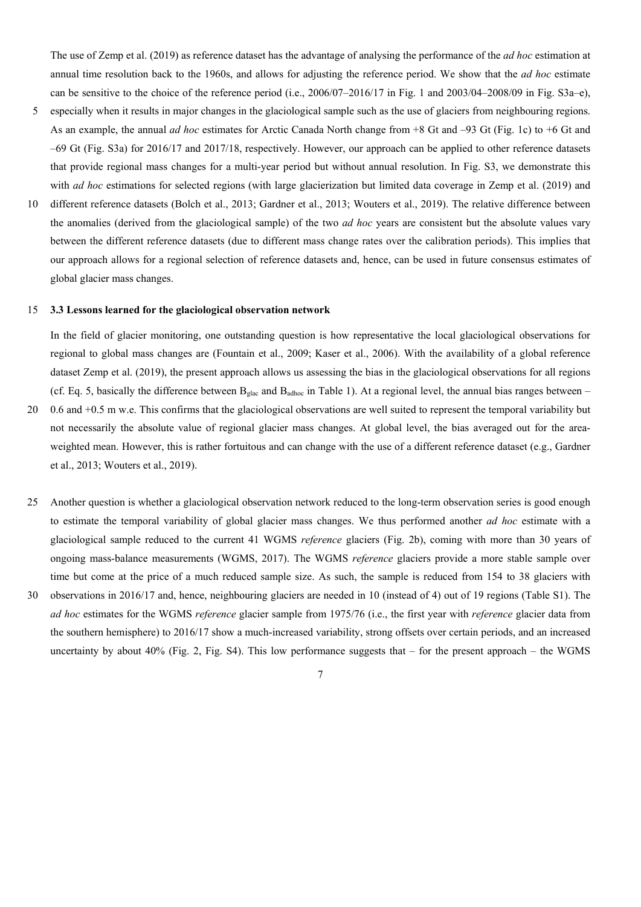The use of Zemp et al. (2019) as reference dataset has the advantage of analysing the performance of the *ad hoc* estimation at annual time resolution back to the 1960s, and allows for adjusting the reference period. We show that the *ad hoc* estimate can be sensitive to the choice of the reference period (i.e.,  $2006/07-2016/17$  in Fig. 1 and  $2003/04-2008/09$  in Fig. S3a–e),

- 5 especially when it results in major changes in the glaciological sample such as the use of glaciers from neighbouring regions. As an example, the annual *ad hoc* estimates for Arctic Canada North change from +8 Gt and –93 Gt (Fig. 1c) to +6 Gt and –69 Gt (Fig. S3a) for 2016/17 and 2017/18, respectively. However, our approach can be applied to other reference datasets that provide regional mass changes for a multi-year period but without annual resolution. In Fig. S3, we demonstrate this with *ad hoc* estimations for selected regions (with large glacierization but limited data coverage in Zemp et al. (2019) and
- 10 different reference datasets (Bolch et al., 2013; Gardner et al., 2013; Wouters et al., 2019). The relative difference between the anomalies (derived from the glaciological sample) of the two *ad hoc* years are consistent but the absolute values vary between the different reference datasets (due to different mass change rates over the calibration periods). This implies that our approach allows for a regional selection of reference datasets and, hence, can be used in future consensus estimates of global glacier mass changes.

#### 15 **3.3 Lessons learned for the glaciological observation network**

In the field of glacier monitoring, one outstanding question is how representative the local glaciological observations for regional to global mass changes are (Fountain et al., 2009; Kaser et al., 2006). With the availability of a global reference dataset Zemp et al. (2019), the present approach allows us assessing the bias in the glaciological observations for all regions (cf. Eq. 5, basically the difference between  $B_{\text{glac}}$  and  $B_{\text{adhoc}}$  in Table 1). At a regional level, the annual bias ranges between – 20 0.6 and +0.5 m w.e. This confirms that the glaciological observations are well suited to represent the temporal variability but

- not necessarily the absolute value of regional glacier mass changes. At global level, the bias averaged out for the areaweighted mean. However, this is rather fortuitous and can change with the use of a different reference dataset (e.g., Gardner et al., 2013; Wouters et al., 2019).
- 25 Another question is whether a glaciological observation network reduced to the long-term observation series is good enough to estimate the temporal variability of global glacier mass changes. We thus performed another *ad hoc* estimate with a glaciological sample reduced to the current 41 WGMS *reference* glaciers (Fig. 2b), coming with more than 30 years of ongoing mass-balance measurements (WGMS, 2017). The WGMS *reference* glaciers provide a more stable sample over time but come at the price of a much reduced sample size. As such, the sample is reduced from 154 to 38 glaciers with
- 30 observations in 2016/17 and, hence, neighbouring glaciers are needed in 10 (instead of 4) out of 19 regions (Table S1). The *ad hoc* estimates for the WGMS *reference* glacier sample from 1975/76 (i.e., the first year with *reference* glacier data from the southern hemisphere) to 2016/17 show a much-increased variability, strong offsets over certain periods, and an increased uncertainty by about 40% (Fig. 2, Fig. S4). This low performance suggests that – for the present approach – the WGMS
	- 7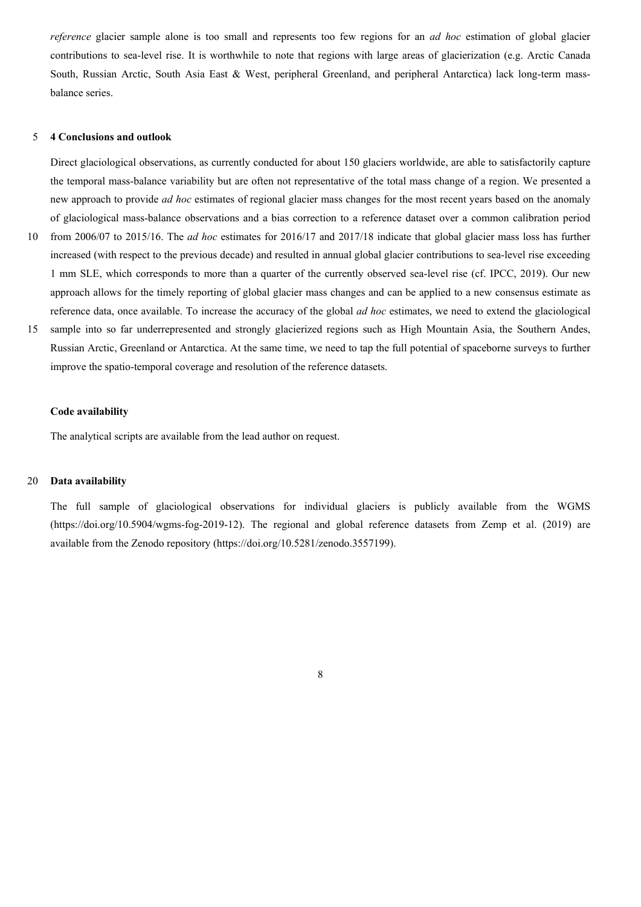*reference* glacier sample alone is too small and represents too few regions for an *ad hoc* estimation of global glacier contributions to sea-level rise. It is worthwhile to note that regions with large areas of glacierization (e.g. Arctic Canada South, Russian Arctic, South Asia East & West, peripheral Greenland, and peripheral Antarctica) lack long-term massbalance series.

# 5 **4 Conclusions and outlook**

Direct glaciological observations, as currently conducted for about 150 glaciers worldwide, are able to satisfactorily capture the temporal mass-balance variability but are often not representative of the total mass change of a region. We presented a new approach to provide *ad hoc* estimates of regional glacier mass changes for the most recent years based on the anomaly of glaciological mass-balance observations and a bias correction to a reference dataset over a common calibration period

- 10 from 2006/07 to 2015/16. The *ad hoc* estimates for 2016/17 and 2017/18 indicate that global glacier mass loss has further increased (with respect to the previous decade) and resulted in annual global glacier contributions to sea-level rise exceeding 1 mm SLE, which corresponds to more than a quarter of the currently observed sea-level rise (cf. IPCC, 2019). Our new approach allows for the timely reporting of global glacier mass changes and can be applied to a new consensus estimate as reference data, once available. To increase the accuracy of the global *ad hoc* estimates, we need to extend the glaciological
- 15 sample into so far underrepresented and strongly glacierized regions such as High Mountain Asia, the Southern Andes, Russian Arctic, Greenland or Antarctica. At the same time, we need to tap the full potential of spaceborne surveys to further improve the spatio-temporal coverage and resolution of the reference datasets.

#### **Code availability**

The analytical scripts are available from the lead author on request.

# 20 **Data availability**

The full sample of glaciological observations for individual glaciers is publicly available from the WGMS (https://doi.org/10.5904/wgms-fog-2019-12). The regional and global reference datasets from Zemp et al. (2019) are available from the Zenodo repository (https://doi.org/10.5281/zenodo.3557199).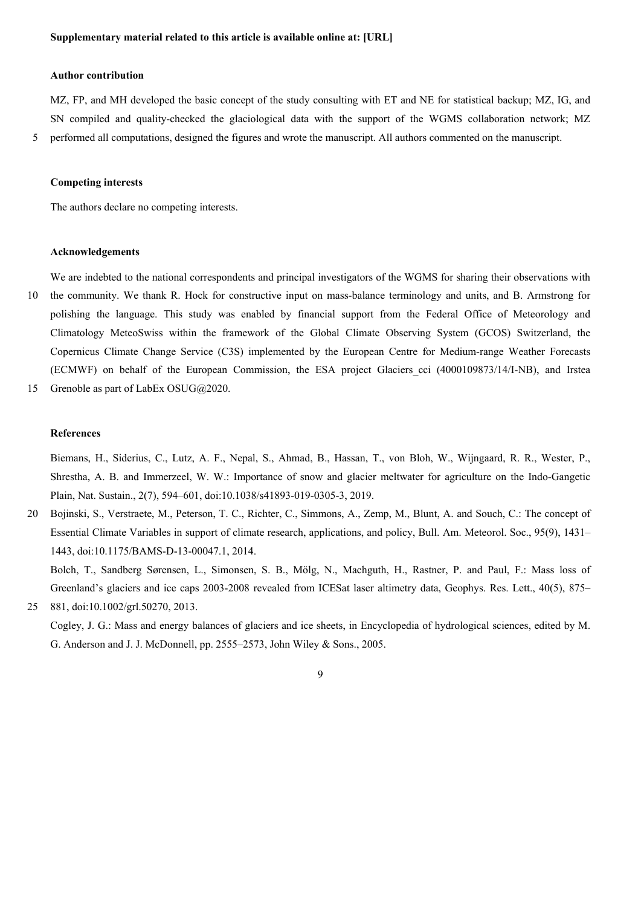# **Author contribution**

MZ, FP, and MH developed the basic concept of the study consulting with ET and NE for statistical backup; MZ, IG, and SN compiled and quality-checked the glaciological data with the support of the WGMS collaboration network; MZ 5 performed all computations, designed the figures and wrote the manuscript. All authors commented on the manuscript.

# **Competing interests**

The authors declare no competing interests.

#### **Acknowledgements**

We are indebted to the national correspondents and principal investigators of the WGMS for sharing their observations with

- 10 the community. We thank R. Hock for constructive input on mass-balance terminology and units, and B. Armstrong for polishing the language. This study was enabled by financial support from the Federal Office of Meteorology and Climatology MeteoSwiss within the framework of the Global Climate Observing System (GCOS) Switzerland, the Copernicus Climate Change Service (C3S) implemented by the European Centre for Medium-range Weather Forecasts (ECMWF) on behalf of the European Commission, the ESA project Glaciers\_cci (4000109873/14/I-NB), and Irstea
- 15 Grenoble as part of LabEx OSUG@2020.

#### **References**

Biemans, H., Siderius, C., Lutz, A. F., Nepal, S., Ahmad, B., Hassan, T., von Bloh, W., Wijngaard, R. R., Wester, P., Shrestha, A. B. and Immerzeel, W. W.: Importance of snow and glacier meltwater for agriculture on the Indo-Gangetic Plain, Nat. Sustain., 2(7), 594–601, doi:10.1038/s41893-019-0305-3, 2019.

20 Bojinski, S., Verstraete, M., Peterson, T. C., Richter, C., Simmons, A., Zemp, M., Blunt, A. and Souch, C.: The concept of Essential Climate Variables in support of climate research, applications, and policy, Bull. Am. Meteorol. Soc., 95(9), 1431– 1443, doi:10.1175/BAMS-D-13-00047.1, 2014.

Bolch, T., Sandberg Sørensen, L., Simonsen, S. B., Mölg, N., Machguth, H., Rastner, P. and Paul, F.: Mass loss of Greenland's glaciers and ice caps 2003-2008 revealed from ICESat laser altimetry data, Geophys. Res. Lett., 40(5), 875–

25 881, doi:10.1002/grl.50270, 2013.

Cogley, J. G.: Mass and energy balances of glaciers and ice sheets, in Encyclopedia of hydrological sciences, edited by M. G. Anderson and J. J. McDonnell, pp. 2555–2573, John Wiley & Sons., 2005.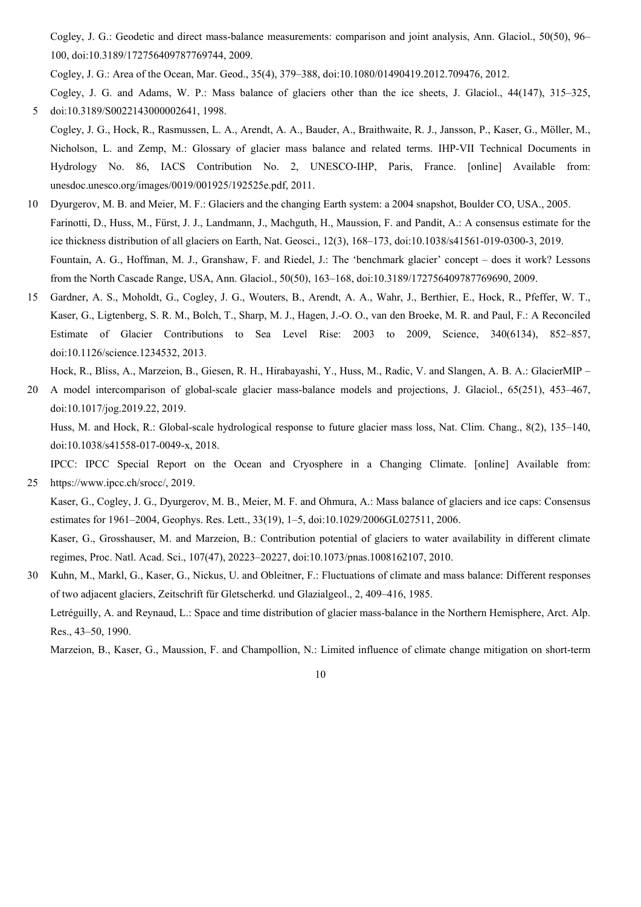Cogley, J. G.: Geodetic and direct mass-balance measurements: comparison and joint analysis, Ann. Glaciol., 50(50), 96– 100, doi:10.3189/172756409787769744, 2009.

Cogley, J. G.: Area of the Ocean, Mar. Geod., 35(4), 379–388, doi:10.1080/01490419.2012.709476, 2012.

Cogley, J. G. and Adams, W. P.: Mass balance of glaciers other than the ice sheets, J. Glaciol., 44(147), 315–325, 5 doi:10.3189/S0022143000002641, 1998.

- Cogley, J. G., Hock, R., Rasmussen, L. A., Arendt, A. A., Bauder, A., Braithwaite, R. J., Jansson, P., Kaser, G., Möller, M., Nicholson, L. and Zemp, M.: Glossary of glacier mass balance and related terms. IHP-VII Technical Documents in Hydrology No. 86, IACS Contribution No. 2, UNESCO-IHP, Paris, France. [online] Available from: unesdoc.unesco.org/images/0019/001925/192525e.pdf, 2011.
- 10 Dyurgerov, M. B. and Meier, M. F.: Glaciers and the changing Earth system: a 2004 snapshot, Boulder CO, USA., 2005. Farinotti, D., Huss, M., Fürst, J. J., Landmann, J., Machguth, H., Maussion, F. and Pandit, A.: A consensus estimate for the ice thickness distribution of all glaciers on Earth, Nat. Geosci., 12(3), 168–173, doi:10.1038/s41561-019-0300-3, 2019. Fountain, A. G., Hoffman, M. J., Granshaw, F. and Riedel, J.: The 'benchmark glacier' concept – does it work? Lessons from the North Cascade Range, USA, Ann. Glaciol., 50(50), 163–168, doi:10.3189/172756409787769690, 2009.
- 15 Gardner, A. S., Moholdt, G., Cogley, J. G., Wouters, B., Arendt, A. A., Wahr, J., Berthier, E., Hock, R., Pfeffer, W. T., Kaser, G., Ligtenberg, S. R. M., Bolch, T., Sharp, M. J., Hagen, J.-O. O., van den Broeke, M. R. and Paul, F.: A Reconciled Estimate of Glacier Contributions to Sea Level Rise: 2003 to 2009, Science, 340(6134), 852–857, doi:10.1126/science.1234532, 2013.

Hock, R., Bliss, A., Marzeion, B., Giesen, R. H., Hirabayashi, Y., Huss, M., Radic, V. and Slangen, A. B. A.: GlacierMIP –

20 A model intercomparison of global-scale glacier mass-balance models and projections, J. Glaciol., 65(251), 453–467, doi:10.1017/jog.2019.22, 2019.

Huss, M. and Hock, R.: Global-scale hydrological response to future glacier mass loss, Nat. Clim. Chang., 8(2), 135–140, doi:10.1038/s41558-017-0049-x, 2018.

IPCC: IPCC Special Report on the Ocean and Cryosphere in a Changing Climate. [online] Available from: 25 https://www.ipcc.ch/srocc/, 2019.

Kaser, G., Cogley, J. G., Dyurgerov, M. B., Meier, M. F. and Ohmura, A.: Mass balance of glaciers and ice caps: Consensus estimates for 1961–2004, Geophys. Res. Lett., 33(19), 1–5, doi:10.1029/2006GL027511, 2006.

Kaser, G., Grosshauser, M. and Marzeion, B.: Contribution potential of glaciers to water availability in different climate regimes, Proc. Natl. Acad. Sci., 107(47), 20223–20227, doi:10.1073/pnas.1008162107, 2010.

30 Kuhn, M., Markl, G., Kaser, G., Nickus, U. and Obleitner, F.: Fluctuations of climate and mass balance: Different responses of two adjacent glaciers, Zeitschrift für Gletscherkd. und Glazialgeol., 2, 409–416, 1985. Letréguilly, A. and Reynaud, L.: Space and time distribution of glacier mass-balance in the Northern Hemisphere, Arct. Alp. Res., 43–50, 1990.

Marzeion, B., Kaser, G., Maussion, F. and Champollion, N.: Limited influence of climate change mitigation on short-term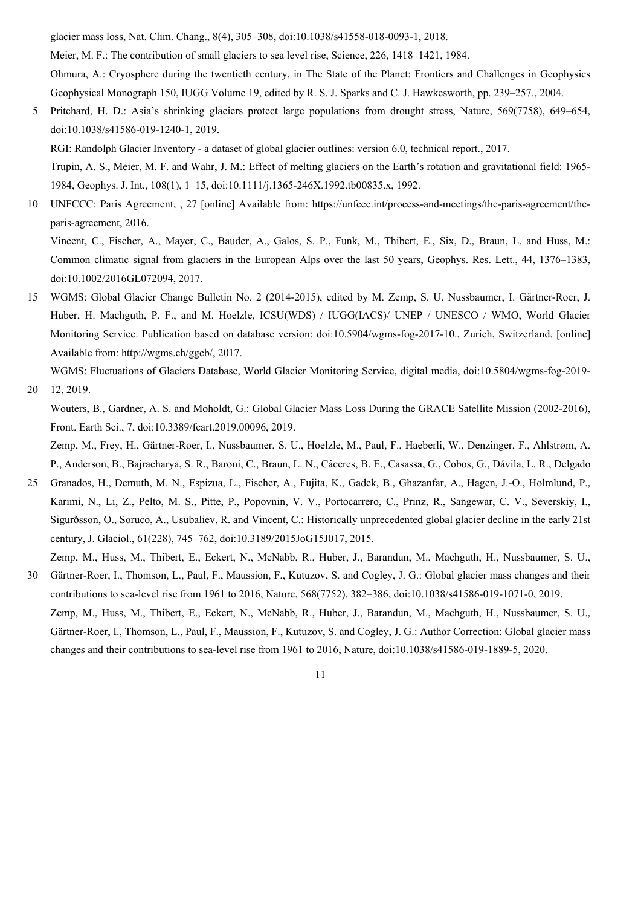glacier mass loss, Nat. Clim. Chang., 8(4), 305–308, doi:10.1038/s41558-018-0093-1, 2018.

Meier, M. F.: The contribution of small glaciers to sea level rise, Science, 226, 1418–1421, 1984.

Ohmura, A.: Cryosphere during the twentieth century, in The State of the Planet: Frontiers and Challenges in Geophysics Geophysical Monograph 150, IUGG Volume 19, edited by R. S. J. Sparks and C. J. Hawkesworth, pp. 239–257., 2004.

5 Pritchard, H. D.: Asia's shrinking glaciers protect large populations from drought stress, Nature, 569(7758), 649–654, doi:10.1038/s41586-019-1240-1, 2019. RGI: Randolph Glacier Inventory - a dataset of global glacier outlines: version 6.0, technical report., 2017.

Trupin, A. S., Meier, M. F. and Wahr, J. M.: Effect of melting glaciers on the Earth's rotation and gravitational field: 1965- 1984, Geophys. J. Int., 108(1), 1–15, doi:10.1111/j.1365-246X.1992.tb00835.x, 1992.

10 UNFCCC: Paris Agreement, , 27 [online] Available from: https://unfccc.int/process-and-meetings/the-paris-agreement/theparis-agreement, 2016.

Vincent, C., Fischer, A., Mayer, C., Bauder, A., Galos, S. P., Funk, M., Thibert, E., Six, D., Braun, L. and Huss, M.: Common climatic signal from glaciers in the European Alps over the last 50 years, Geophys. Res. Lett., 44, 1376–1383, doi:10.1002/2016GL072094, 2017.

15 WGMS: Global Glacier Change Bulletin No. 2 (2014-2015), edited by M. Zemp, S. U. Nussbaumer, I. Gärtner-Roer, J. Huber, H. Machguth, P. F., and M. Hoelzle, ICSU(WDS) / IUGG(IACS)/ UNEP / UNESCO / WMO, World Glacier Monitoring Service. Publication based on database version: doi:10.5904/wgms-fog-2017-10., Zurich, Switzerland. [online] Available from: http://wgms.ch/ggcb/, 2017.

WGMS: Fluctuations of Glaciers Database, World Glacier Monitoring Service, digital media, doi:10.5804/wgms-fog-2019- 20 12, 2019.

Wouters, B., Gardner, A. S. and Moholdt, G.: Global Glacier Mass Loss During the GRACE Satellite Mission (2002-2016), Front. Earth Sci., 7, doi:10.3389/feart.2019.00096, 2019.

Zemp, M., Frey, H., Gärtner-Roer, I., Nussbaumer, S. U., Hoelzle, M., Paul, F., Haeberli, W., Denzinger, F., Ahlstrøm, A. P., Anderson, B., Bajracharya, S. R., Baroni, C., Braun, L. N., Cáceres, B. E., Casassa, G., Cobos, G., Dávila, L. R., Delgado

25 Granados, H., Demuth, M. N., Espizua, L., Fischer, A., Fujita, K., Gadek, B., Ghazanfar, A., Hagen, J.-O., Holmlund, P., Karimi, N., Li, Z., Pelto, M. S., Pitte, P., Popovnin, V. V., Portocarrero, C., Prinz, R., Sangewar, C. V., Severskiy, I., Sigurðsson, O., Soruco, A., Usubaliev, R. and Vincent, C.: Historically unprecedented global glacier decline in the early 21st century, J. Glaciol., 61(228), 745–762, doi:10.3189/2015JoG15J017, 2015.

Zemp, M., Huss, M., Thibert, E., Eckert, N., McNabb, R., Huber, J., Barandun, M., Machguth, H., Nussbaumer, S. U., 30 Gärtner-Roer, I., Thomson, L., Paul, F., Maussion, F., Kutuzov, S. and Cogley, J. G.: Global glacier mass changes and their contributions to sea-level rise from 1961 to 2016, Nature, 568(7752), 382–386, doi:10.1038/s41586-019-1071-0, 2019.

Zemp, M., Huss, M., Thibert, E., Eckert, N., McNabb, R., Huber, J., Barandun, M., Machguth, H., Nussbaumer, S. U., Gärtner-Roer, I., Thomson, L., Paul, F., Maussion, F., Kutuzov, S. and Cogley, J. G.: Author Correction: Global glacier mass changes and their contributions to sea-level rise from 1961 to 2016, Nature, doi:10.1038/s41586-019-1889-5, 2020.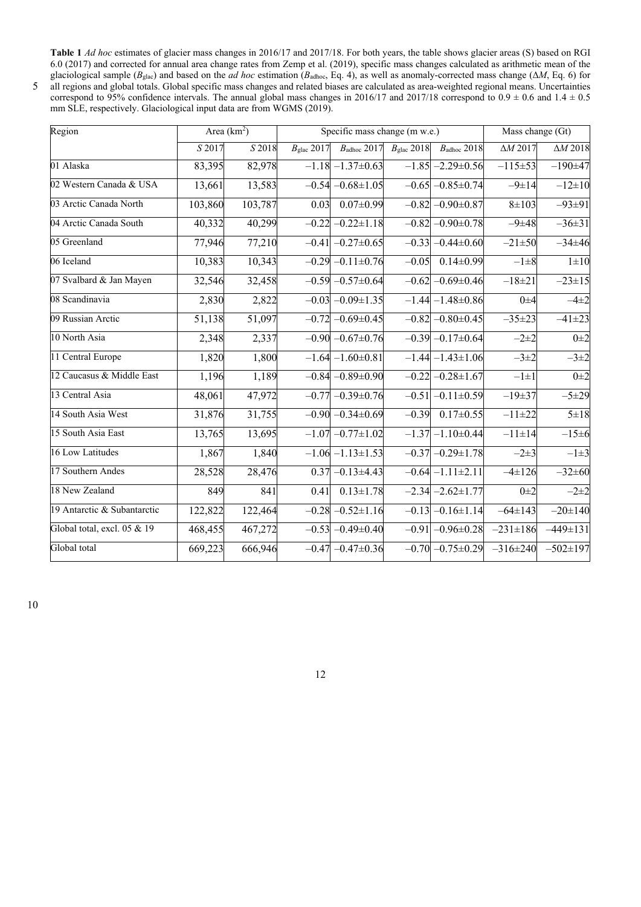**Table 1** *Ad hoc* estimates of glacier mass changes in 2016/17 and 2017/18. For both years, the table shows glacier areas (S) based on RGI 6.0 (2017) and corrected for annual area change rates from Zemp et al. (2019), specific mass changes calculated as arithmetic mean of the

glaciological sample (*B*glac) and based on the *ad hoc* estimation (*B*adhoc, Eq. 4), as well as anomaly-corrected mass change (Δ*M*, Eq. 6) for 5 all regions and global totals. Global specific mass changes and related biases are calculated as area-weighted regional means. Uncertainties correspond to 95% confidence intervals. The annual global mass changes in 2016/17 and 2017/18 correspond to  $0.9 \pm 0.6$  and  $1.4 \pm 0.5$ mm SLE, respectively. Glaciological input data are from WGMS (2019). Region Area (km<sup>2</sup>) Area (km<sup>2</sup>) Specific mass change (m w.e.) Mass change (Gt) *S* 2017 *S* 2018 *B*glac 2017 *B*adhoc 2017 *B*glac 2018 *B*adhoc 2018 Δ*M* 2017 Δ*M* 2018

|                             | S 2017  | S 2018  | $B_{\rm{glac}} 2017$ | $B_{\text{adhoc}} 2017$  | $B_{\rm{glac}} 2018$ | $B_{\text{adhoc}} 2018$  | $\Delta M 2017$ | $\Delta M$ 2018 |
|-----------------------------|---------|---------|----------------------|--------------------------|----------------------|--------------------------|-----------------|-----------------|
| 01 Alaska                   | 83,395  | 82,978  |                      | $-1.18 - 1.37 \pm 0.63$  |                      | $-1.85 - 2.29 \pm 0.56$  | $-115+53$       | $-190+47$       |
| 02 Western Canada & USA     | 13,661  | 13,583  |                      | $-0.54 - 0.68 \pm 1.05$  |                      | $-0.65 - 0.85 \pm 0.74$  | $-9 \pm 14$     | $-12\pm 10$     |
| 03 Arctic Canada North      | 103,860 | 103,787 | 0.03                 | $0.07 \pm 0.99$          |                      | $-0.82 - 0.90 \pm 0.87$  | $8 + 103$       | $-93+91$        |
| 04 Arctic Canada South      | 40,332  | 40,299  |                      | $-0.22 - 0.22 \pm 1.18$  |                      | $-0.82 - 0.90 \pm 0.78$  | $-9+48$         | $-36\pm31$      |
| 05 Greenland                | 77,946  | 77,210  |                      | $-0.41$ $-0.27 \pm 0.65$ |                      | $-0.33 - 0.44 \pm 0.60$  | $-21 \pm 50$    | $-34\pm 46$     |
| 06 Iceland                  | 10,383  | 10,343  |                      | $-0.29 - 0.11 \pm 0.76$  | $-0.05$              | $0.14 \pm 0.99$          | $-1\pm 8$       | $1 \pm 10$      |
| 07 Svalbard & Jan Mayen     | 32,546  | 32,458  |                      | $-0.59 - 0.57 \pm 0.64$  |                      | $-0.62 - 0.69 \pm 0.46$  | $-18+21$        | $-23 \pm 15$    |
| 08 Scandinavia              | 2,830   | 2,822   |                      | $-0.03$ $-0.09 \pm 1.35$ |                      | $-1.44 - 1.48 \pm 0.86$  | $0\pm4$         | $-4\pm 2$       |
| 09 Russian Arctic           | 51,138  | 51,097  |                      | $-0.72 - 0.69 \pm 0.45$  |                      | $-0.82 - 0.80 \pm 0.45$  | $-35\pm 23$     | $-41\pm 23$     |
| 10 North Asia               | 2,348   | 2,337   |                      | $-0.90 - 0.67 \pm 0.76$  |                      | $-0.39 - 0.17 \pm 0.64$  | $-2+2$          | $0\pm 2$        |
| 11 Central Europe           | 1,820   | 1,800   |                      | $-1.64 - 1.60 \pm 0.81$  |                      | $-1.44 - 1.43 \pm 1.06$  | $-3\pm2$        | $-3+2$          |
| 12 Caucasus & Middle East   | 1,196   | 1,189   |                      | $-0.84 - 0.89 \pm 0.90$  |                      | $-0.22 - 0.28 \pm 1.67$  | $-1\pm1$        | $0\pm2$         |
| 13 Central Asia             | 48,061  | 47,972  |                      | $-0.77 - 0.39 \pm 0.76$  |                      | $-0.51$ $-0.11 \pm 0.59$ | $-19+37$        | $-5+29$         |
| 14 South Asia West          | 31,876  | 31,755  |                      | $-0.90 - 0.34 \pm 0.69$  | $-0.39$              | $0.17 \pm 0.55$          | $-11\pm 22$     | $5 + 18$        |
| 15 South Asia East          | 13,765  | 13,695  |                      | $-1.07 - 0.77 \pm 1.02$  |                      | $-1.37 - 1.10 \pm 0.44$  | $-11 \pm 14$    | $-15+6$         |
| 16 Low Latitudes            | 1,867   | 1,840   |                      | $-1.06 - 1.13 \pm 1.53$  |                      | $-0.37 - 0.29 \pm 1.78$  | $-2+3$          | $-1\pm3$        |
| 17 Southern Andes           | 28,528  | 28,476  |                      | $0.37 - 0.13 \pm 4.43$   |                      | $-0.64 -1.11 \pm 2.11$   | $-4 \pm 126$    | $-32+60$        |
| 18 New Zealand              | 849     | 841     | 0.41                 | $0.13 \pm 1.78$          |                      | $-2.34 -2.62 \pm 1.77$   | $0\pm 2$        | $-2+2$          |
| 19 Antarctic & Subantarctic | 122,822 | 122,464 |                      | $-0.28 - 0.52 \pm 1.16$  |                      | $-0.13 - 0.16 \pm 1.14$  | $-64 \pm 143$   | $-20 \pm 140$   |
| Global total, excl. 05 & 19 | 468,455 | 467,272 |                      | $-0.53 - 0.49 \pm 0.40$  |                      | $-0.91 - 0.96 \pm 0.28$  | $-231 \pm 186$  | $-449 \pm 131$  |
| Global total                | 669,223 | 666,946 |                      | $-0.47 - 0.47 \pm 0.36$  |                      | $-0.70 -0.75 \pm 0.29$   | $-316 \pm 240$  | $-502 \pm 197$  |

10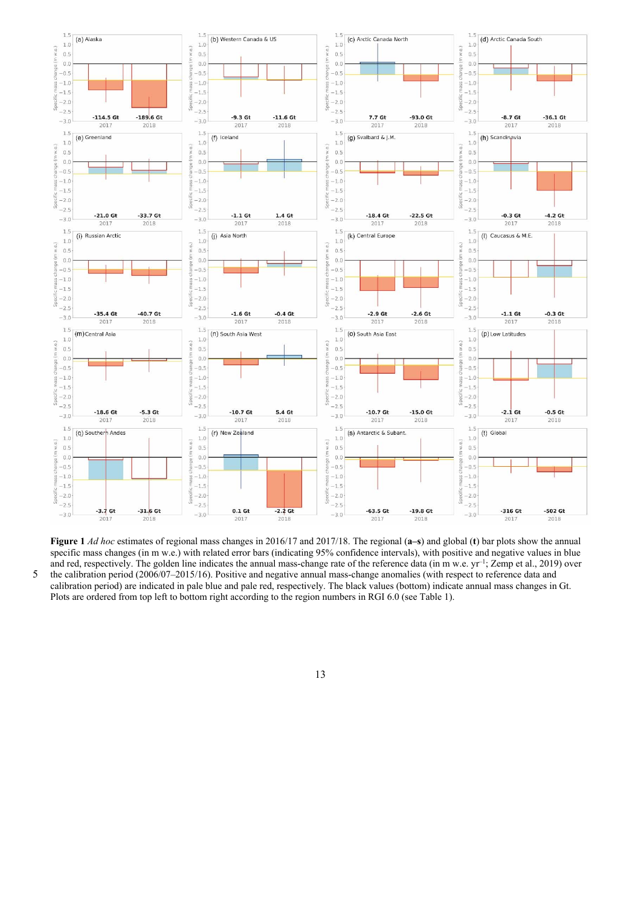

**Figure 1** *Ad hoc* estimates of regional mass changes in 2016/17 and 2017/18. The regional (**a–s**) and global (**t**) bar plots show the annual specific mass changes (in m w.e.) with related error bars (indicating 95% confidence intervals), with positive and negative values in blue and red, respectively. The golden line indicates the annual mass-change rate of the reference data (in m w.e.  $yr^{-1}$ ; Zemp et al., 2019) over 5 the calibration period (2006/07–2015/16). Positive and negative annual mass-change anomalies (with respect to reference data and calibration period) are indicated in pale blue and pale red, respectively. The black values (bottom) indicate annual mass changes in Gt. Plots are ordered from top left to bottom right according to the region numbers in RGI 6.0 (see Table 1).